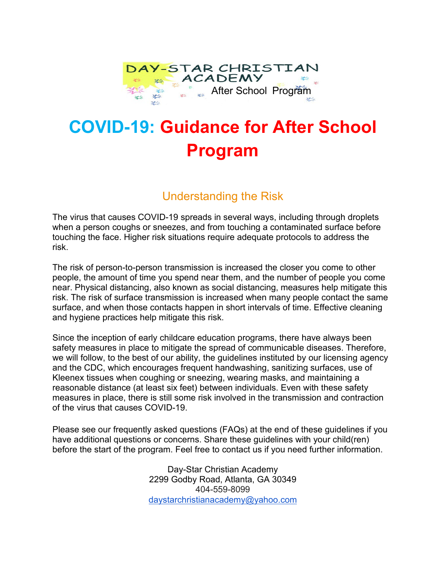

# **COVID-19: Guidance for After School Program**

### Understanding the Risk

The virus that causes COVID-19 spreads in several ways, including through droplets when a person coughs or sneezes, and from touching a contaminated surface before touching the face. Higher risk situations require adequate protocols to address the risk.

The risk of person-to-person transmission is increased the closer you come to other people, the amount of time you spend near them, and the number of people you come near. Physical distancing, also known as social distancing, measures help mitigate this risk. The risk of surface transmission is increased when many people contact the same surface, and when those contacts happen in short intervals of time. Effective cleaning and hygiene practices help mitigate this risk.

Since the inception of early childcare education programs, there have always been safety measures in place to mitigate the spread of communicable diseases. Therefore, we will follow, to the best of our ability, the guidelines instituted by our licensing agency and the CDC, which encourages frequent handwashing, sanitizing surfaces, use of Kleenex tissues when coughing or sneezing, wearing masks, and maintaining a reasonable distance (at least six feet) between individuals. Even with these safety measures in place, there is still some risk involved in the transmission and contraction of the virus that causes COVID-19.

Please see our frequently asked questions (FAQs) at the end of these guidelines if you have additional questions or concerns. Share these guidelines with your child(ren) before the start of the program. Feel free to contact us if you need further information.

> Day-Star Christian Academy 2299 Godby Road, Atlanta, GA 30349 404-559-8099 [daystarchristianacademy@yahoo.com](mailto:daystarchristianacademy@yahoo.com)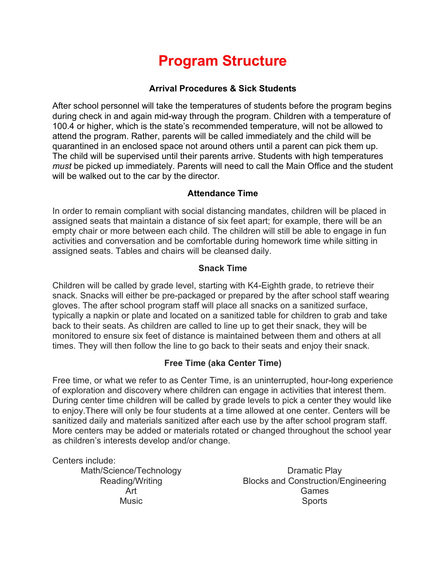## **Program Structure**

#### **Arrival Procedures & Sick Students**

After school personnel will take the temperatures of students before the program begins during check in and again mid-way through the program. Children with a temperature of 100.4 or higher, which is the state's recommended temperature, will not be allowed to attend the program. Rather, parents will be called immediately and the child will be quarantined in an enclosed space not around others until a parent can pick them up. The child will be supervised until their parents arrive. Students with high temperatures *must* be picked up immediately. Parents will need to call the Main Office and the student will be walked out to the car by the director.

#### **Attendance Time**

In order to remain compliant with social distancing mandates, children will be placed in assigned seats that maintain a distance of six feet apart; for example, there will be an empty chair or more between each child. The children will still be able to engage in fun activities and conversation and be comfortable during homework time while sitting in assigned seats. Tables and chairs will be cleansed daily.

#### **Snack Time**

Children will be called by grade level, starting with K4-Eighth grade, to retrieve their snack. Snacks will either be pre-packaged or prepared by the after school staff wearing gloves. The after school program staff will place all snacks on a sanitized surface, typically a napkin or plate and located on a sanitized table for children to grab and take back to their seats. As children are called to line up to get their snack, they will be monitored to ensure six feet of distance is maintained between them and others at all times. They will then follow the line to go back to their seats and enjoy their snack.

#### **Free Time (aka Center Time)**

Free time, or what we refer to as Center Time, is an uninterrupted, hour-long experience of exploration and discovery where children can engage in activities that interest them. During center time children will be called by grade levels to pick a center they would like to enjoy.There will only be four students at a time allowed at one center. Centers will be sanitized daily and materials sanitized after each use by the after school program staff. More centers may be added or materials rotated or changed throughout the school year as children's interests develop and/or change.

Centers include:

Math/Science/Technology Reading/Writing Art Music

Dramatic Play Blocks and Construction/Engineering Games **Sports**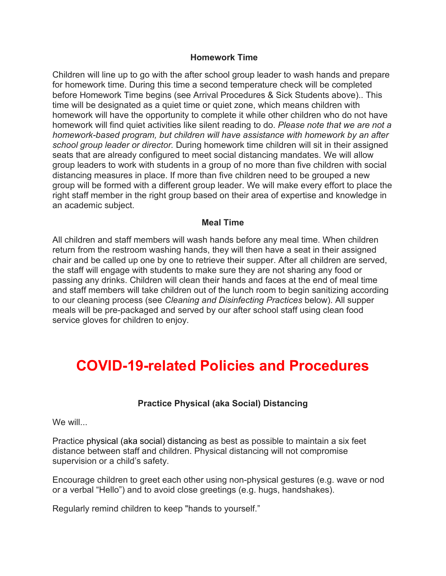#### **Homework Time**

Children will line up to go with the after school group leader to wash hands and prepare for homework time. During this time a second temperature check will be completed before Homework Time begins (see Arrival Procedures & Sick Students above).. This time will be designated as a quiet time or quiet zone, which means children with homework will have the opportunity to complete it while other children who do not have homework will find quiet activities like silent reading to do. *Please note that we are not a homework-based program, but children will have assistance with homework by an after school group leader or director.* During homework time children will sit in their assigned seats that are already configured to meet social distancing mandates. We will allow group leaders to work with students in a group of no more than five children with social distancing measures in place. If more than five children need to be grouped a new group will be formed with a different group leader. We will make every effort to place the right staff member in the right group based on their area of expertise and knowledge in an academic subject.

#### **Meal Time**

All children and staff members will wash hands before any meal time. When children return from the restroom washing hands, they will then have a seat in their assigned chair and be called up one by one to retrieve their supper. After all children are served, the staff will engage with students to make sure they are not sharing any food or passing any drinks. Children will clean their hands and faces at the end of meal time and staff members will take children out of the lunch room to begin sanitizing according to our cleaning process (see *Cleaning and Disinfecting Practices* below). All supper meals will be pre-packaged and served by our after school staff using clean food service gloves for children to enjoy.

### **COVID-19-related Policies and Procedures**

#### **Practice Physical (aka Social) Distancing**

We will...

Practice physical (aka social) distancing as best as possible to maintain a six feet distance between staff and children. Physical distancing will not compromise supervision or a child's safety.

Encourage children to greet each other using non-physical gestures (e.g. wave or nod or a verbal "Hello") and to avoid close greetings (e.g. hugs, handshakes).

Regularly remind children to keep "hands to yourself."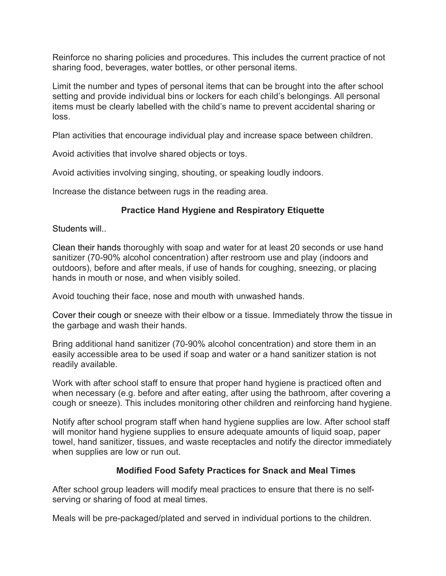Reinforce no sharing policies and procedures. This includes the current practice of not sharing food, beverages, water bottles, or other personal items.

Limit the number and types of personal items that can be brought into the after school setting and provide individual bins or lockers for each child's belongings. All personal items must be clearly labelled with the child's name to prevent accidental sharing or loss.

Plan activities that encourage individual play and increase space between children.

Avoid activities that involve shared objects or toys.

Avoid activities involving singing, shouting, or speaking loudly indoors.

Increase the distance between rugs in the reading area.

#### **Practice Hand Hygiene and Respiratory Etiquette**

Students will..

Clean their hands thoroughly with soap and water for at least 20 seconds or use hand sanitizer (70-90% alcohol concentration) after restroom use and play (indoors and outdoors), before and after meals, if use of hands for coughing, sneezing, or placing hands in mouth or nose, and when visibly soiled.

Avoid touching their face, nose and mouth with unwashed hands.

Cover their cough or sneeze with their elbow or a tissue. Immediately throw the tissue in the garbage and wash their hands.

Bring additional hand sanitizer (70-90% alcohol concentration) and store them in an easily accessible area to be used if soap and water or a hand sanitizer station is not readily available.

Work with after school staff to ensure that proper hand hygiene is practiced often and when necessary (e.g. before and after eating, after using the bathroom, after covering a cough or sneeze). This includes monitoring other children and reinforcing hand hygiene.

Notify after school program staff when hand hygiene supplies are low. After school staff will monitor hand hygiene supplies to ensure adequate amounts of liquid soap, paper towel, hand sanitizer, tissues, and waste receptacles and notify the director immediately when supplies are low or run out.

#### **Modified Food Safety Practices for Snack and Meal Times**

After school group leaders will modify meal practices to ensure that there is no selfserving or sharing of food at meal times.

Meals will be pre-packaged/plated and served in individual portions to the children.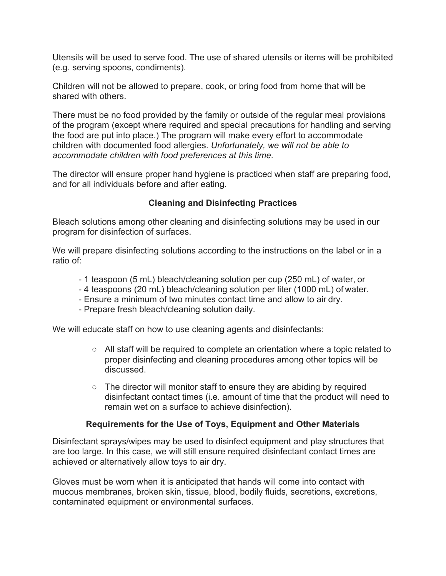Utensils will be used to serve food. The use of shared utensils or items will be prohibited (e.g. serving spoons, condiments).

Children will not be allowed to prepare, cook, or bring food from home that will be shared with others.

There must be no food provided by the family or outside of the regular meal provisions of the program (except where required and special precautions for handling and serving the food are put into place.) The program will make every effort to accommodate children with documented food allergies. *Unfortunately, we will not be able to accommodate children with food preferences at this time.*

The director will ensure proper hand hygiene is practiced when staff are preparing food, and for all individuals before and after eating.

#### **Cleaning and Disinfecting Practices**

Bleach solutions among other cleaning and disinfecting solutions may be used in our program for disinfection of surfaces.

We will prepare disinfecting solutions according to the instructions on the label or in a ratio of:

- 1 teaspoon (5 mL) bleach/cleaning solution per cup (250 mL) of water, or
- 4 teaspoons (20 mL) bleach/cleaning solution per liter (1000 mL) of water.
- Ensure a minimum of two minutes contact time and allow to air dry.
- Prepare fresh bleach/cleaning solution daily.

We will educate staff on how to use cleaning agents and disinfectants:

- All staff will be required to complete an orientation where a topic related to proper disinfecting and cleaning procedures among other topics will be discussed.
- $\circ$  The director will monitor staff to ensure they are abiding by required disinfectant contact times (i.e. amount of time that the product will need to remain wet on a surface to achieve disinfection).

#### **Requirements for the Use of Toys, Equipment and Other Materials**

Disinfectant sprays/wipes may be used to disinfect equipment and play structures that are too large. In this case, we will still ensure required disinfectant contact times are achieved or alternatively allow toys to air dry.

Gloves must be worn when it is anticipated that hands will come into contact with mucous membranes, broken skin, tissue, blood, bodily fluids, secretions, excretions, contaminated equipment or environmental surfaces.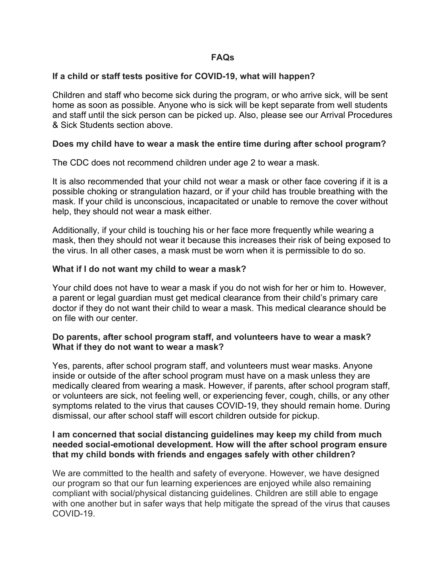#### **FAQs**

#### **If a child or staff tests positive for COVID-19, what will happen?**

Children and staff who become sick during the program, or who arrive sick, will be sent home as soon as possible. Anyone who is sick will be kept separate from well students and staff until the sick person can be picked up. Also, please see our Arrival Procedures & Sick Students section above.

#### **Does my child have to wear a mask the entire time during after school program?**

The CDC does not recommend children under age 2 to wear a mask.

It is also recommended that your child not wear a mask or other face covering if it is a possible choking or strangulation hazard, or if your child has trouble breathing with the mask. If your child is unconscious, incapacitated or unable to remove the cover without help, they should not wear a mask either.

Additionally, if your child is touching his or her face more frequently while wearing a mask, then they should not wear it because this increases their risk of being exposed to the virus. In all other cases, a mask must be worn when it is permissible to do so.

#### **What if I do not want my child to wear a mask?**

Your child does not have to wear a mask if you do not wish for her or him to. However, a parent or legal guardian must get medical clearance from their child's primary care doctor if they do not want their child to wear a mask. This medical clearance should be on file with our center.

#### **Do parents, after school program staff, and volunteers have to wear a mask? What if they do not want to wear a mask?**

Yes, parents, after school program staff, and volunteers must wear masks. Anyone inside or outside of the after school program must have on a mask unless they are medically cleared from wearing a mask. However, if parents, after school program staff, or volunteers are sick, not feeling well, or experiencing fever, cough, chills, or any other symptoms related to the virus that causes COVID-19, they should remain home. During dismissal, our after school staff will escort children outside for pickup.

#### **I am concerned that social distancing guidelines may keep my child from much needed social-emotional development. How will the after school program ensure that my child bonds with friends and engages safely with other children?**

We are committed to the health and safety of everyone. However, we have designed our program so that our fun learning experiences are enjoyed while also remaining compliant with social/physical distancing guidelines. Children are still able to engage with one another but in safer ways that help mitigate the spread of the virus that causes COVID-19.